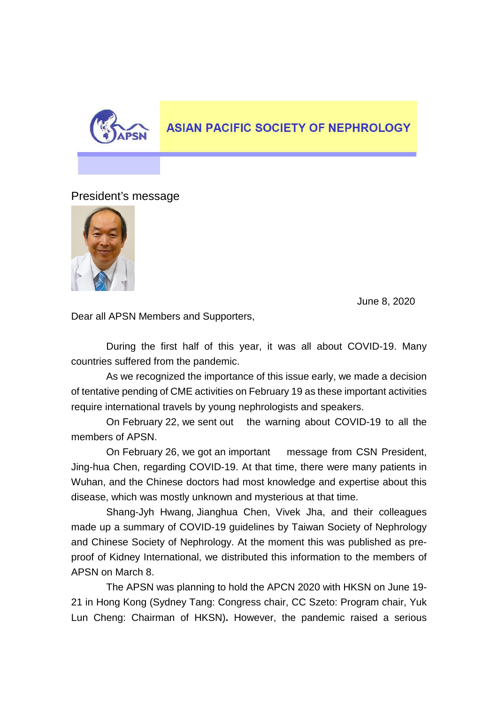

## **ASIAN PACIFIC SOCIETY OF NEPHROLOGY**

President's message



June 8, 2020

Dear all APSN Members and Supporters,

During the first half of this year, it was all about COVID-19. Many countries suffered from the pandemic.

As we recognized the importance of this issue early, we made a decision of tentative pending of CME activities on February 19 as these important activities require international travels by young nephrologists and speakers.

On February 22, we sent out the warning about COVID-19 to all the members of APSN.

On February 26, we got an important message from CSN President, Jing-hua Chen, regarding COVID-19. At that time, there were many patients in Wuhan, and the Chinese doctors had most knowledge and expertise about this disease, which was mostly unknown and mysterious at that time.

Shang-Jyh Hwang, Jianghua Chen, Vivek Jha, and their colleagues made up a summary of COVID-19 guidelines by Taiwan Society of Nephrology and Chinese Society of Nephrology. At the moment this was published as preproof of Kidney International, we distributed this information to the members of APSN on March 8.

The APSN was planning to hold the APCN 2020 with HKSN on June 19- 21 in Hong Kong (Sydney Tang: Congress chair, CC Szeto: Program chair, Yuk Lun Cheng: Chairman of HKSN)**.** However, the pandemic raised a serious